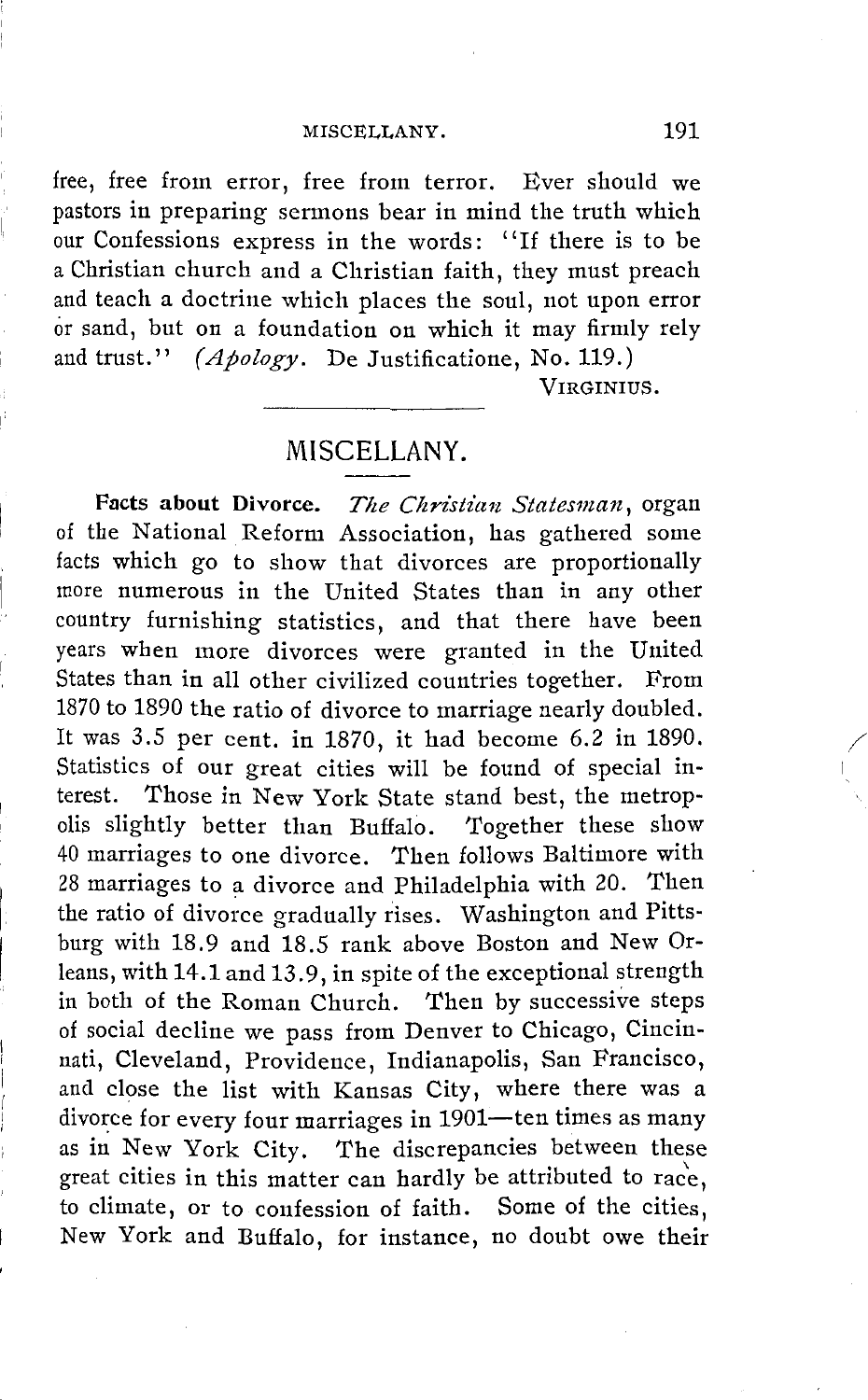## MISCELLANY. 191

free, free from error, free from terror. Ever should we pastors in preparing sermons bear in mind the truth which our Confessions express in the words: '' If there is to be a Christian church and a Christian faith, they must preach and teach a doctrine which places the soul, not upon error or sand, but on a foundation on which it may firmly rely and trust." *(Apology.* De Justificatione, No. 119.)

VIRGINIUS.

## MISCELLANY.

**Pacts about Divorce.** *The Christian Statesman,* organ of the National Reform Association, has gathered some facts which go to show that divorces are proportionally more numerous in the United States than in any other country furnishing statistics, and that there have been years when more divorces were granted in the United States than in all other civilized countries together. From 1870 to 1890 the ratio of divorce to marriage nearly doubled. It was 3.5 per cent. in 1870, it had become 6.2 in 1890. Statistics of our great cities will be found of special interest. Those in New York State stand best, the metropolis slightly better than Buffalo. Together these show 40 marriages to one divorce. Then follows Baltimore with 28 marriages to a divorce and Philadelphia with 20. Then the ratio of divorce gradually rises. Washington and Pittsburg with 18.9 and 18.5 rank above Boston and New Orleans, with 14.1 and 13.9, in spite of the exceptional strength in both of the Roman Church. Then by successive steps of social decline we pass from Denver to Chicago, Cincinnati, Cleveland, Providence, Indianapolis, San Francisco, and close the list with Kansas City, where there was a divorce for every four marriages in 1901-ten times as many as in New York City. The discrepancies between these great cities in this matter can hardly be attributed to rac'e, to climate, or to confession of faith. Some of the cities, New York and Buffalo, for instance, no doubt owe their

 $\Big\vert \cdot$ 

I

/